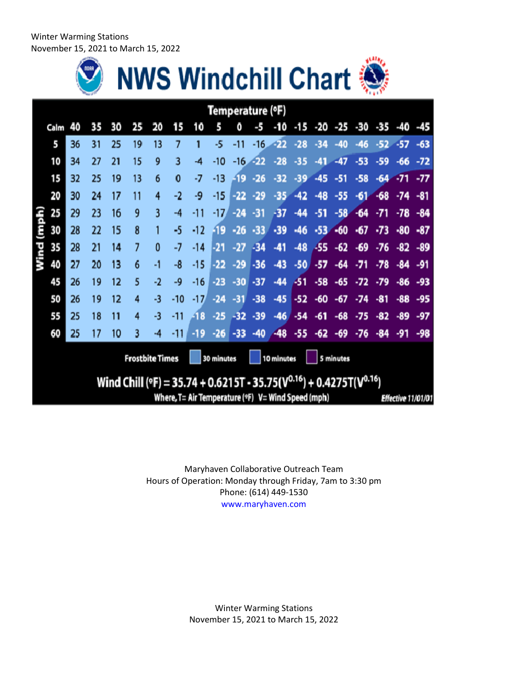Winter Warming Stations November 15, 2021 to March 15, 2022





|                                                                                 | Temperature (°F)                                                         |    |    |    |    |          |          |       |       |       |       |       |       |       |       |                         |       |       |       |
|---------------------------------------------------------------------------------|--------------------------------------------------------------------------|----|----|----|----|----------|----------|-------|-------|-------|-------|-------|-------|-------|-------|-------------------------|-------|-------|-------|
|                                                                                 | Calm                                                                     | 40 | 35 | 30 | 25 | 20       | 15       | 10    | 5     | Ō     | -5    | -10   | $-15$ |       |       | $-20$ $-25$ $-30$ $-35$ |       | -40   | -45   |
|                                                                                 | 5                                                                        | 36 | 31 | 25 | 19 | 13       | 7        |       | $-5$  | -11   | $-16$ | -22   | $-28$ | -34   | $-40$ | $-46$                   | $-52$ | $-57$ | $-63$ |
|                                                                                 | 10                                                                       | 34 | 27 | 21 | 15 | 9        | 3        | -4    | -10   | $-16$ | -22   | $-28$ | -35   | $-41$ | $-47$ | $-53$                   | $-59$ | -66   | $-72$ |
|                                                                                 | 15                                                                       | 32 | 25 | 19 | 13 | 6        | $\bf{0}$ | -7    | $-13$ | -19   | $-26$ | $-32$ | $-39$ | $-45$ | $-51$ | $-58$                   | $-64$ | $-71$ | $-77$ |
|                                                                                 | 20                                                                       | 30 | 24 | 17 | 11 | 4        | $-2$     | -9    | $-15$ | -22   | $-29$ | $-35$ | $-42$ | $-48$ | $-55$ | $-61$                   | $-68$ | $-74$ | -81   |
|                                                                                 | 25                                                                       | 29 | 23 | 16 | 9  | 3        | $-4$     | -11   | $-17$ | $-24$ | $-31$ | -37   | -44   | $-51$ | $-58$ | $-64$                   | $-71$ | $-78$ | $-84$ |
| Wind (mph)                                                                      | 30                                                                       | 28 | 22 | 15 | 8  |          | -5       | $-12$ | -19   | $-26$ | $-33$ | $-39$ | $-46$ | $-53$ | $-60$ | $\cdot 67$              | $-73$ | -80   | $-87$ |
|                                                                                 | 35                                                                       | 28 | 21 | 14 | 7  | $\bf{0}$ | -7       | $-14$ | -21   | -27   | $-34$ | -41   | $-48$ | -55   | $-62$ | $-69$                   | $-76$ | $-82$ | $-89$ |
|                                                                                 | 40                                                                       | 27 | 20 | 13 | 6  | -1       | -8       | -15   | $-22$ | $-29$ | $-36$ | $-43$ | $-50$ | $-57$ | -64   | $-71$                   | -78   | -84   | -91   |
|                                                                                 | 45                                                                       | 26 | 19 | 12 | 5  | -2       | -9       | $-16$ | $-23$ | $-30$ | $-37$ | $-44$ | -51   | $-58$ | $-65$ | -72                     | $-79$ | -86   | -93   |
|                                                                                 | 50                                                                       | 26 | 19 | 12 | 4  | -3       | -10      | -17   | $-24$ | $-31$ | $-38$ | $-45$ | $-52$ | -60   | -67   | -74                     | -81   | $-88$ | -95   |
|                                                                                 | 55                                                                       | 25 | 18 | 11 | 4  | -3       | $-11$    | -18   | $-25$ | $-32$ | $-39$ | $-46$ | $-54$ | $-61$ | $-68$ | -75                     | -82   | $-89$ | $-97$ |
|                                                                                 | 60                                                                       | 25 | 17 | 10 | 3  | -4       | $-11$    | -19   | $-26$ | -33   | -40   | $-48$ | $-55$ | $-62$ | -69   | -76                     | -84   | -91   | $-98$ |
| <b>Frostbite Times</b><br>5 minutes<br>30 minutes<br>10 minutes                 |                                                                          |    |    |    |    |          |          |       |       |       |       |       |       |       |       |                         |       |       |       |
| Wind Chill (°F) = 35.74 + 0.6215T - 35.75( $V^{0.16}$ ) + 0.4275T( $V^{0.16}$ ) |                                                                          |    |    |    |    |          |          |       |       |       |       |       |       |       |       |                         |       |       |       |
|                                                                                 | Where, T= Air Temperature (°F) V= Wind Speed (mph)<br>Effective 11/01/01 |    |    |    |    |          |          |       |       |       |       |       |       |       |       |                         |       |       |       |

Maryhaven Collaborative Outreach Team Hours of Operation: Monday through Friday, 7am to 3:30 pm Phone: (614) 449‐1530 www.maryhaven.com

> Winter Warming Stations November 15, 2021 to March 15, 2022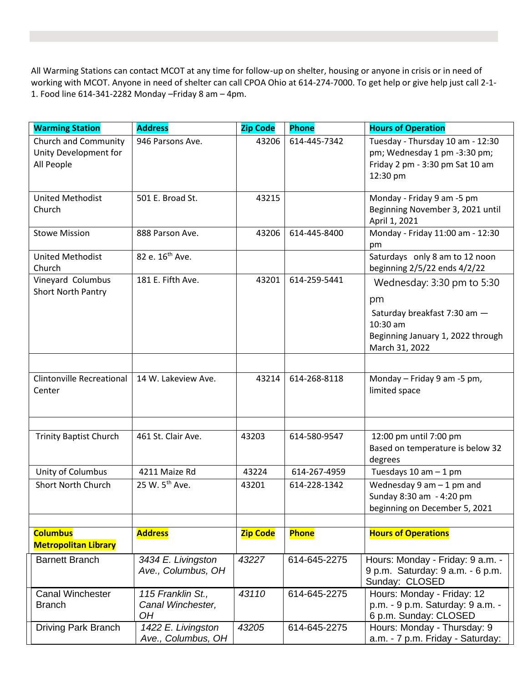All Warming Stations can contact MCOT at any time for follow‐up on shelter, housing or anyone in crisis or in need of working with MCOT. Anyone in need of shelter can call CPOA Ohio at 614-274-7000. To get help or give help just call 2-1- 1. Food line 614-341-2282 Monday –Friday 8 am – 4pm.

| <b>Warming Station</b>                                             | <b>Address</b>                               | <b>Zip Code</b> | <b>Phone</b> | <b>Hours of Operation</b>                                                                                                           |  |  |
|--------------------------------------------------------------------|----------------------------------------------|-----------------|--------------|-------------------------------------------------------------------------------------------------------------------------------------|--|--|
| <b>Church and Community</b><br>Unity Development for<br>All People | 946 Parsons Ave.                             | 43206           | 614-445-7342 | Tuesday - Thursday 10 am - 12:30<br>pm; Wednesday 1 pm -3:30 pm;<br>Friday 2 pm - 3:30 pm Sat 10 am                                 |  |  |
|                                                                    |                                              |                 |              | 12:30 pm                                                                                                                            |  |  |
| <b>United Methodist</b><br>Church                                  | 501 E. Broad St.                             | 43215           |              | Monday - Friday 9 am -5 pm<br>Beginning November 3, 2021 until<br>April 1, 2021                                                     |  |  |
| <b>Stowe Mission</b>                                               | 888 Parson Ave.                              | 43206           | 614-445-8400 | Monday - Friday 11:00 am - 12:30<br>pm                                                                                              |  |  |
| <b>United Methodist</b><br>Church                                  | 82 e. 16 <sup>th</sup> Ave.                  |                 |              | Saturdays only 8 am to 12 noon<br>beginning 2/5/22 ends 4/2/22                                                                      |  |  |
| Vineyard Columbus<br><b>Short North Pantry</b>                     | 181 E. Fifth Ave.                            | 43201           | 614-259-5441 | Wednesday: 3:30 pm to 5:30<br>pm<br>Saturday breakfast 7:30 am -<br>10:30 am<br>Beginning January 1, 2022 through<br>March 31, 2022 |  |  |
|                                                                    |                                              |                 |              |                                                                                                                                     |  |  |
| <b>Clintonville Recreational</b><br>Center                         | 14 W. Lakeview Ave.                          | 43214           | 614-268-8118 | Monday - Friday 9 am -5 pm,<br>limited space                                                                                        |  |  |
|                                                                    |                                              |                 |              |                                                                                                                                     |  |  |
| <b>Trinity Baptist Church</b>                                      | 461 St. Clair Ave.                           | 43203           | 614-580-9547 | 12:00 pm until 7:00 pm<br>Based on temperature is below 32<br>degrees                                                               |  |  |
| Unity of Columbus                                                  | 4211 Maize Rd                                | 43224           | 614-267-4959 | Tuesdays $10$ am $-1$ pm                                                                                                            |  |  |
| <b>Short North Church</b>                                          | 25 W. 5 <sup>th</sup> Ave.                   | 43201           | 614-228-1342 | Wednesday $9$ am $-1$ pm and<br>Sunday 8:30 am - 4:20 pm<br>beginning on December 5, 2021                                           |  |  |
|                                                                    |                                              |                 |              |                                                                                                                                     |  |  |
| <b>Columbus</b><br><b>Metropolitan Library</b>                     | <b>Address</b>                               | <b>Zip Code</b> | Phone        | <b>Hours of Operations</b>                                                                                                          |  |  |
| <b>Barnett Branch</b>                                              | 3434 E. Livingston<br>Ave., Columbus, OH     | 43227           | 614-645-2275 | Hours: Monday - Friday: 9 a.m. -<br>9 p.m. Saturday: 9 a.m. - 6 p.m.<br>Sunday: CLOSED                                              |  |  |
| <b>Canal Winchester</b><br><b>Branch</b>                           | 115 Franklin St.,<br>Canal Winchester,<br>OH | 43110           | 614-645-2275 | Hours: Monday - Friday: 12<br>p.m. - 9 p.m. Saturday: 9 a.m. -<br>6 p.m. Sunday: CLOSED                                             |  |  |
| <b>Driving Park Branch</b>                                         | 1422 E. Livingston<br>Ave., Columbus, OH     | 43205           | 614-645-2275 | Hours: Monday - Thursday: 9<br>a.m. - 7 p.m. Friday - Saturday:                                                                     |  |  |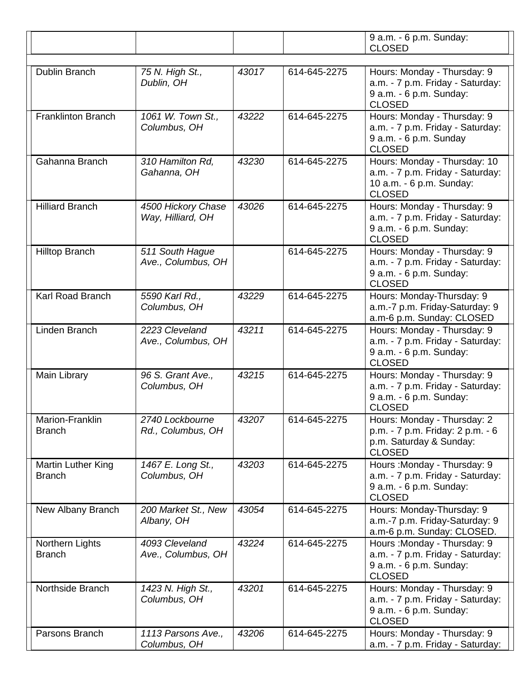|                                     |                                         |       |              | 9 a.m. - 6 p.m. Sunday:<br><b>CLOSED</b>                                                                      |  |  |  |
|-------------------------------------|-----------------------------------------|-------|--------------|---------------------------------------------------------------------------------------------------------------|--|--|--|
| Dublin Branch                       | 75 N. High St.,<br>Dublin, OH           | 43017 | 614-645-2275 | Hours: Monday - Thursday: 9<br>a.m. - 7 p.m. Friday - Saturday:<br>9 a.m. - 6 p.m. Sunday:<br><b>CLOSED</b>   |  |  |  |
| <b>Franklinton Branch</b>           | 1061 W. Town St.,<br>Columbus, OH       | 43222 | 614-645-2275 | Hours: Monday - Thursday: 9<br>a.m. - 7 p.m. Friday - Saturday:<br>9 a.m. - 6 p.m. Sunday<br><b>CLOSED</b>    |  |  |  |
| Gahanna Branch                      | 310 Hamilton Rd,<br>Gahanna, OH         | 43230 | 614-645-2275 | Hours: Monday - Thursday: 10<br>a.m. - 7 p.m. Friday - Saturday:<br>10 a.m. - 6 p.m. Sunday:<br><b>CLOSED</b> |  |  |  |
| <b>Hilliard Branch</b>              | 4500 Hickory Chase<br>Way, Hilliard, OH | 43026 | 614-645-2275 | Hours: Monday - Thursday: 9<br>a.m. - 7 p.m. Friday - Saturday:<br>9 a.m. - 6 p.m. Sunday:<br><b>CLOSED</b>   |  |  |  |
| <b>Hilltop Branch</b>               | 511 South Hague<br>Ave., Columbus, OH   |       | 614-645-2275 | Hours: Monday - Thursday: 9<br>a.m. - 7 p.m. Friday - Saturday:<br>9 a.m. - 6 p.m. Sunday:<br><b>CLOSED</b>   |  |  |  |
| <b>Karl Road Branch</b>             | 5590 Karl Rd.,<br>Columbus, OH          | 43229 | 614-645-2275 | Hours: Monday-Thursday: 9<br>a.m.-7 p.m. Friday-Saturday: 9<br>a.m-6 p.m. Sunday: CLOSED                      |  |  |  |
| Linden Branch                       | 2223 Cleveland<br>Ave., Columbus, OH    | 43211 | 614-645-2275 | Hours: Monday - Thursday: 9<br>a.m. - 7 p.m. Friday - Saturday:<br>9 a.m. - 6 p.m. Sunday:<br><b>CLOSED</b>   |  |  |  |
| Main Library                        | 96 S. Grant Ave.,<br>Columbus, OH       | 43215 | 614-645-2275 | Hours: Monday - Thursday: 9<br>a.m. - 7 p.m. Friday - Saturday:<br>9 a.m. - 6 p.m. Sunday:<br><b>CLOSED</b>   |  |  |  |
| Marion-Franklin<br><b>Branch</b>    | 2740 Lockbourne<br>Rd., Columbus, OH    | 43207 | 614-645-2275 | Hours: Monday - Thursday: 2<br>p.m. - 7 p.m. Friday: 2 p.m. - 6<br>p.m. Saturday & Sunday:<br><b>CLOSED</b>   |  |  |  |
| Martin Luther King<br><b>Branch</b> | 1467 E. Long St.,<br>Columbus, OH       | 43203 | 614-645-2275 | Hours: Monday - Thursday: 9<br>a.m. - 7 p.m. Friday - Saturday:<br>9 a.m. - 6 p.m. Sunday:<br><b>CLOSED</b>   |  |  |  |
| New Albany Branch                   | 200 Market St., New<br>Albany, OH       | 43054 | 614-645-2275 | Hours: Monday-Thursday: 9<br>a.m.-7 p.m. Friday-Saturday: 9<br>a.m-6 p.m. Sunday: CLOSED.                     |  |  |  |
| Northern Lights<br><b>Branch</b>    | 4093 Cleveland<br>Ave., Columbus, OH    | 43224 | 614-645-2275 | Hours: Monday - Thursday: 9<br>a.m. - 7 p.m. Friday - Saturday:<br>9 a.m. - 6 p.m. Sunday:<br><b>CLOSED</b>   |  |  |  |
| Northside Branch                    | 1423 N. High St.,<br>Columbus, OH       | 43201 | 614-645-2275 | Hours: Monday - Thursday: 9<br>a.m. - 7 p.m. Friday - Saturday:<br>9 a.m. - 6 p.m. Sunday:<br><b>CLOSED</b>   |  |  |  |
| Parsons Branch                      | 1113 Parsons Ave.,<br>Columbus, OH      | 43206 | 614-645-2275 | Hours: Monday - Thursday: 9<br>a.m. - 7 p.m. Friday - Saturday:                                               |  |  |  |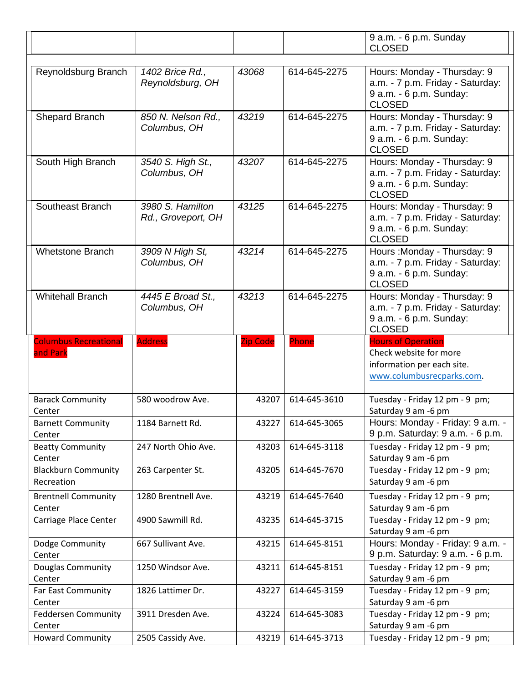|                                          |                                        |                 |              | 9 a.m. - 6 p.m. Sunday                                                                                      |
|------------------------------------------|----------------------------------------|-----------------|--------------|-------------------------------------------------------------------------------------------------------------|
|                                          |                                        |                 |              | <b>CLOSED</b>                                                                                               |
| Reynoldsburg Branch                      | 1402 Brice Rd.,<br>Reynoldsburg, OH    | 43068           | 614-645-2275 | Hours: Monday - Thursday: 9<br>a.m. - 7 p.m. Friday - Saturday:<br>9 a.m. - 6 p.m. Sunday:                  |
|                                          |                                        |                 |              | <b>CLOSED</b>                                                                                               |
| Shepard Branch                           | 850 N. Nelson Rd.,<br>Columbus, OH     | 43219           | 614-645-2275 | Hours: Monday - Thursday: 9<br>a.m. - 7 p.m. Friday - Saturday:<br>9 a.m. - 6 p.m. Sunday:<br><b>CLOSED</b> |
| South High Branch                        | 3540 S. High St.,<br>Columbus, OH      | 43207           | 614-645-2275 | Hours: Monday - Thursday: 9<br>a.m. - 7 p.m. Friday - Saturday:<br>9 a.m. - 6 p.m. Sunday:<br><b>CLOSED</b> |
| Southeast Branch                         | 3980 S. Hamilton<br>Rd., Groveport, OH | 43125           | 614-645-2275 | Hours: Monday - Thursday: 9<br>a.m. - 7 p.m. Friday - Saturday:<br>9 a.m. - 6 p.m. Sunday:<br><b>CLOSED</b> |
| <b>Whetstone Branch</b>                  | 3909 N High St,<br>Columbus, OH        | 43214           | 614-645-2275 | Hours: Monday - Thursday: 9<br>a.m. - 7 p.m. Friday - Saturday:<br>9 a.m. - 6 p.m. Sunday:<br><b>CLOSED</b> |
| <b>Whitehall Branch</b>                  | 4445 E Broad St.,<br>Columbus, OH      | 43213           | 614-645-2275 | Hours: Monday - Thursday: 9<br>a.m. - 7 p.m. Friday - Saturday:<br>9 a.m. - 6 p.m. Sunday:<br><b>CLOSED</b> |
| <b>Columbus Recreational</b><br>and Park | <b>Address</b>                         | <b>Zip Code</b> | Phone        | <b>Hours of Operation</b><br>Check website for more                                                         |
|                                          |                                        |                 |              | information per each site.<br>www.columbusrecparks.com.                                                     |
| <b>Barack Community</b><br>Center        | 580 woodrow Ave.                       | 43207           | 614-645-3610 | Tuesday - Friday 12 pm - 9 pm;<br>Saturday 9 am -6 pm                                                       |
| <b>Barnett Community</b><br>Center       | 1184 Barnett Rd.                       | 43227           | 614-645-3065 | Hours: Monday - Friday: 9 a.m. -<br>9 p.m. Saturday: 9 a.m. - 6 p.m.                                        |
| <b>Beatty Community</b><br>Center        | 247 North Ohio Ave.                    | 43203           | 614-645-3118 | Tuesday - Friday 12 pm - 9 pm;<br>Saturday 9 am -6 pm                                                       |
| <b>Blackburn Community</b><br>Recreation | 263 Carpenter St.                      | 43205           | 614-645-7670 | Tuesday - Friday 12 pm - 9 pm;<br>Saturday 9 am -6 pm                                                       |
| <b>Brentnell Community</b><br>Center     | 1280 Brentnell Ave.                    | 43219           | 614-645-7640 | Tuesday - Friday 12 pm - 9 pm;<br>Saturday 9 am -6 pm                                                       |
| Carriage Place Center                    | 4900 Sawmill Rd.                       | 43235           | 614-645-3715 | Tuesday - Friday 12 pm - 9 pm;<br>Saturday 9 am -6 pm                                                       |
| Dodge Community<br>Center                | 667 Sullivant Ave.                     | 43215           | 614-645-8151 | Hours: Monday - Friday: 9 a.m. -<br>9 p.m. Saturday: 9 a.m. - 6 p.m.                                        |
| Douglas Community<br>Center              | 1250 Windsor Ave.                      | 43211           | 614-645-8151 | Tuesday - Friday 12 pm - 9 pm;<br>Saturday 9 am -6 pm                                                       |
| Far East Community<br>Center             | 1826 Lattimer Dr.                      | 43227           | 614-645-3159 | Tuesday - Friday 12 pm - 9 pm;<br>Saturday 9 am -6 pm                                                       |
| <b>Feddersen Community</b><br>Center     | 3911 Dresden Ave.                      | 43224           | 614-645-3083 | Tuesday - Friday 12 pm - 9 pm;<br>Saturday 9 am -6 pm                                                       |